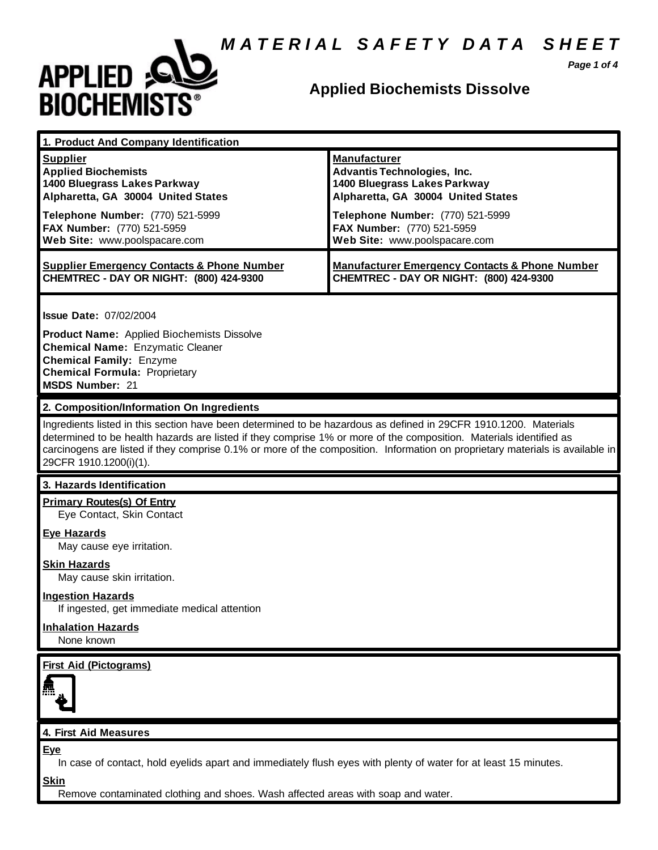## *M A T E R I A L S A F E T Y D A T A S H E E T*



## **Applied Biochemists Dissolve**

*Page 1 of 4*

| 1. Product And Company Identification                                                                                                                                                                                                                                                                                                                                                             |                                                                                                                                 |
|---------------------------------------------------------------------------------------------------------------------------------------------------------------------------------------------------------------------------------------------------------------------------------------------------------------------------------------------------------------------------------------------------|---------------------------------------------------------------------------------------------------------------------------------|
| <b>Supplier</b><br><b>Applied Biochemists</b><br>1400 Bluegrass Lakes Parkway<br>Alpharetta, GA 30004 United States                                                                                                                                                                                                                                                                               | <b>Manufacturer</b><br><b>Advantis Technologies, Inc.</b><br>1400 Bluegrass Lakes Parkway<br>Alpharetta, GA 30004 United States |
| Telephone Number: (770) 521-5999<br>FAX Number: (770) 521-5959<br>Web Site: www.poolspacare.com                                                                                                                                                                                                                                                                                                   | Telephone Number: (770) 521-5999<br>FAX Number: (770) 521-5959<br>Web Site: www.poolspacare.com                                 |
| <b>Supplier Emergency Contacts &amp; Phone Number</b><br>CHEMTREC - DAY OR NIGHT: (800) 424-9300                                                                                                                                                                                                                                                                                                  | <b>Manufacturer Emergency Contacts &amp; Phone Number</b><br>CHEMTREC - DAY OR NIGHT: (800) 424-9300                            |
| <b>Issue Date: 07/02/2004</b><br><b>Product Name:</b> Applied Biochemists Dissolve<br><b>Chemical Name: Enzymatic Cleaner</b><br><b>Chemical Family: Enzyme</b><br><b>Chemical Formula: Proprietary</b><br><b>MSDS Number: 21</b>                                                                                                                                                                 |                                                                                                                                 |
| 2. Composition/Information On Ingredients                                                                                                                                                                                                                                                                                                                                                         |                                                                                                                                 |
| Ingredients listed in this section have been determined to be hazardous as defined in 29CFR 1910.1200. Materials<br>determined to be health hazards are listed if they comprise 1% or more of the composition. Materials identified as<br>carcinogens are listed if they comprise 0.1% or more of the composition. Information on proprietary materials is available in<br>29CFR 1910.1200(i)(1). |                                                                                                                                 |
| 3. Hazards Identification                                                                                                                                                                                                                                                                                                                                                                         |                                                                                                                                 |
| <b>Primary Routes(s) Of Entry</b><br>Eye Contact, Skin Contact                                                                                                                                                                                                                                                                                                                                    |                                                                                                                                 |
| <b>Eye Hazards</b><br>May cause eye irritation.                                                                                                                                                                                                                                                                                                                                                   |                                                                                                                                 |
| <b>Skin Hazards</b><br>May cause skin irritation.                                                                                                                                                                                                                                                                                                                                                 |                                                                                                                                 |
| <b>Ingestion Hazards</b><br>If ingested, get immediate medical attention                                                                                                                                                                                                                                                                                                                          |                                                                                                                                 |
| <b>Inhalation Hazards</b><br>None known                                                                                                                                                                                                                                                                                                                                                           |                                                                                                                                 |





#### **4. First Aid Measures**

**Eye**

In case of contact, hold eyelids apart and immediately flush eyes with plenty of water for at least 15 minutes.

**Skin**

Remove contaminated clothing and shoes. Wash affected areas with soap and water.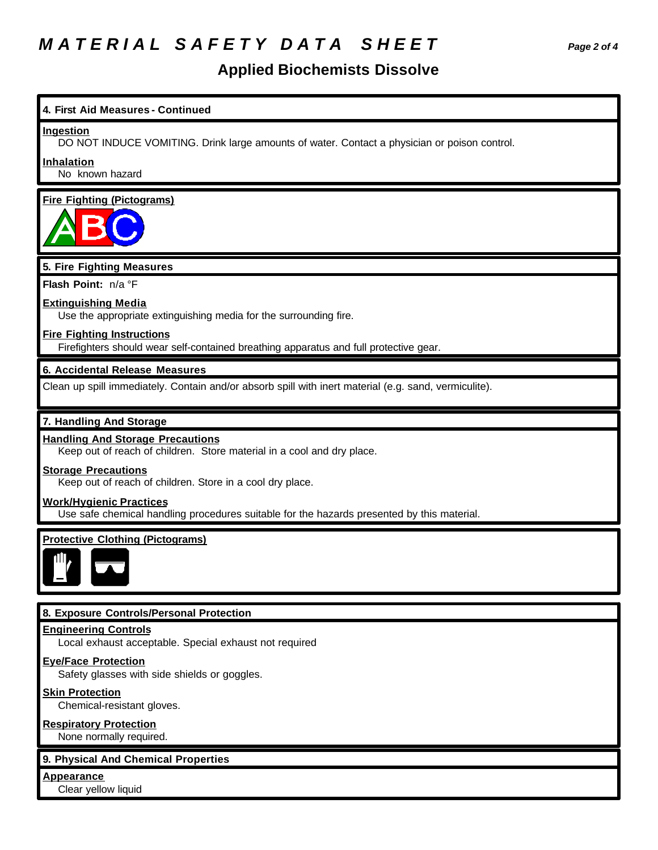# *M A T E R I A L S A F E T Y D A T A S H E E T Page 2 of 4*

### **Applied Biochemists Dissolve**

# **4. First Aid Measures - Continued Ingestion** DO NOT INDUCE VOMITING. Drink large amounts of water. Contact a physician or poison control. **Inhalation** No known hazard **Fire Fighting (Pictograms) 5. Fire Fighting Measures Flash Point:** n/a °F **Extinguishing Media** Use the appropriate extinguishing media for the surrounding fire. **Fire Fighting Instructions** Firefighters should wear self-contained breathing apparatus and full protective gear. **6. Accidental Release Measures** Clean up spill immediately. Contain and/or absorb spill with inert material (e.g. sand, vermiculite). **7. Handling And Storage Handling And Storage Precautions** Keep out of reach of children. Store material in a cool and dry place. **Storage Precautions** Keep out of reach of children. Store in a cool dry place. **Work/Hygienic Practices** Use safe chemical handling procedures suitable for the hazards presented by this material. **Protective Clothing (Pictograms) 8. Exposure Controls/Personal Protection Engineering Controls** Local exhaust acceptable. Special exhaust not required **Eye/Face Protection** Safety glasses with side shields or goggles. **Skin Protection** Chemical-resistant gloves.

**Respiratory Protection** None normally required.

#### **9. Physical And Chemical Properties**

**Appearance**

Clear yellow liquid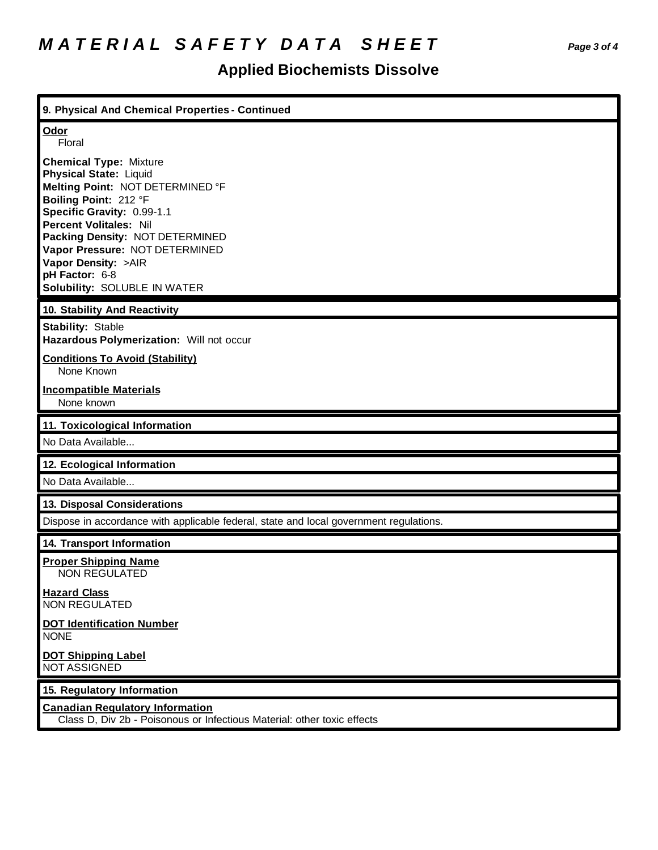# **Applied Biochemists Dissolve**

| 9. Physical And Chemical Properties - Continued                                                                                                                                                                                                                                                                                          |
|------------------------------------------------------------------------------------------------------------------------------------------------------------------------------------------------------------------------------------------------------------------------------------------------------------------------------------------|
| Odor<br>Floral                                                                                                                                                                                                                                                                                                                           |
| <b>Chemical Type: Mixture</b><br><b>Physical State: Liquid</b><br>Melting Point: NOT DETERMINED °F<br>Boiling Point: 212 °F<br>Specific Gravity: 0.99-1.1<br><b>Percent Volitales: Nil</b><br>Packing Density: NOT DETERMINED<br>Vapor Pressure: NOT DETERMINED<br>Vapor Density: >AIR<br>pH Factor: 6-8<br>Solubility: SOLUBLE IN WATER |
| 10. Stability And Reactivity                                                                                                                                                                                                                                                                                                             |
| Stability: Stable<br>Hazardous Polymerization: Will not occur                                                                                                                                                                                                                                                                            |
| <b>Conditions To Avoid (Stability)</b><br>None Known                                                                                                                                                                                                                                                                                     |
| <b>Incompatible Materials</b><br>None known                                                                                                                                                                                                                                                                                              |
|                                                                                                                                                                                                                                                                                                                                          |
| 11. Toxicological Information<br>No Data Available                                                                                                                                                                                                                                                                                       |
| 12. Ecological Information                                                                                                                                                                                                                                                                                                               |
| No Data Available                                                                                                                                                                                                                                                                                                                        |
| 13. Disposal Considerations                                                                                                                                                                                                                                                                                                              |
| Dispose in accordance with applicable federal, state and local government regulations.                                                                                                                                                                                                                                                   |
| 14. Transport Information                                                                                                                                                                                                                                                                                                                |
| <b>Proper Shipping Name</b><br><b>NON REGULATED</b>                                                                                                                                                                                                                                                                                      |
| <b>Hazard Class</b><br><b>NON REGULATED</b>                                                                                                                                                                                                                                                                                              |
| <b>DOT Identification Number</b><br><b>NONE</b>                                                                                                                                                                                                                                                                                          |
| <b>DOT Shipping Label</b><br><b>NOT ASSIGNED</b>                                                                                                                                                                                                                                                                                         |
| 15. Regulatory Information                                                                                                                                                                                                                                                                                                               |